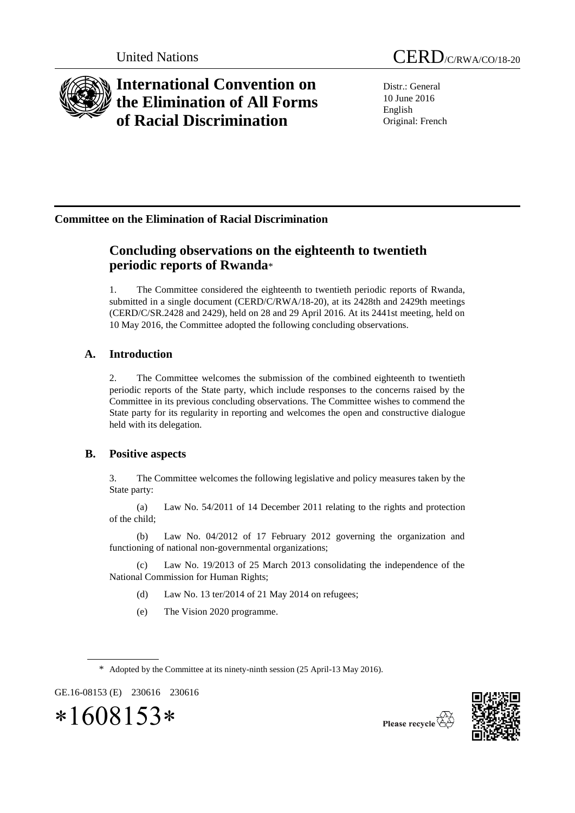

# **International Convention on the Elimination of All Forms of Racial Discrimination**

Distr.: General 10 June 2016 English Original: French

## **Committee on the Elimination of Racial Discrimination**

## **Concluding observations on the eighteenth to twentieth periodic reports of Rwanda**\*

1. The Committee considered the eighteenth to twentieth periodic reports of Rwanda, submitted in a single document (CERD/C/RWA/18-20), at its 2428th and 2429th meetings (CERD/C/SR.2428 and 2429), held on 28 and 29 April 2016. At its 2441st meeting, held on 10 May 2016, the Committee adopted the following concluding observations.

## **A. Introduction**

2. The Committee welcomes the submission of the combined eighteenth to twentieth periodic reports of the State party, which include responses to the concerns raised by the Committee in its previous concluding observations. The Committee wishes to commend the State party for its regularity in reporting and welcomes the open and constructive dialogue held with its delegation.

### **B. Positive aspects**

3. The Committee welcomes the following legislative and policy measures taken by the State party:

(a) Law No. 54/2011 of 14 December 2011 relating to the rights and protection of the child;

(b) Law No. 04/2012 of 17 February 2012 governing the organization and functioning of national non-governmental organizations;

(c) Law No. 19/2013 of 25 March 2013 consolidating the independence of the National Commission for Human Rights;

- (d) Law No. 13 ter/2014 of 21 May 2014 on refugees;
- (e) The Vision 2020 programme.



GE.16-08153 (E) 230616 230616





Please recycle  $\overleftrightarrow{C}$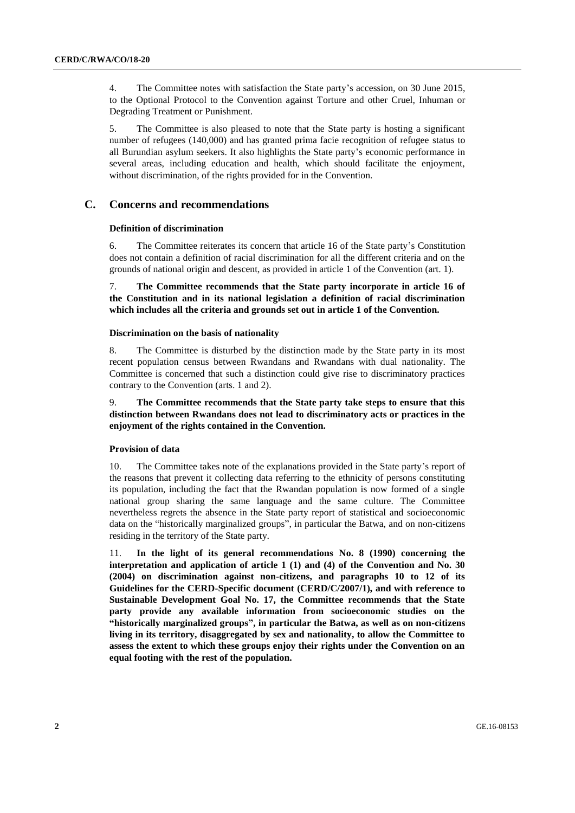4. The Committee notes with satisfaction the State party's accession, on 30 June 2015, to the Optional Protocol to the Convention against Torture and other Cruel, Inhuman or Degrading Treatment or Punishment.

5. The Committee is also pleased to note that the State party is hosting a significant number of refugees (140,000) and has granted prima facie recognition of refugee status to all Burundian asylum seekers. It also highlights the State party's economic performance in several areas, including education and health, which should facilitate the enjoyment, without discrimination, of the rights provided for in the Convention.

#### **C. Concerns and recommendations**

#### **Definition of discrimination**

6. The Committee reiterates its concern that article 16 of the State party's Constitution does not contain a definition of racial discrimination for all the different criteria and on the grounds of national origin and descent, as provided in article 1 of the Convention (art. 1).

7. **The Committee recommends that the State party incorporate in article 16 of the Constitution and in its national legislation a definition of racial discrimination which includes all the criteria and grounds set out in article 1 of the Convention.**

#### **Discrimination on the basis of nationality**

8. The Committee is disturbed by the distinction made by the State party in its most recent population census between Rwandans and Rwandans with dual nationality. The Committee is concerned that such a distinction could give rise to discriminatory practices contrary to the Convention (arts. 1 and 2).

9. **The Committee recommends that the State party take steps to ensure that this distinction between Rwandans does not lead to discriminatory acts or practices in the enjoyment of the rights contained in the Convention.**

#### **Provision of data**

10. The Committee takes note of the explanations provided in the State party's report of the reasons that prevent it collecting data referring to the ethnicity of persons constituting its population, including the fact that the Rwandan population is now formed of a single national group sharing the same language and the same culture. The Committee nevertheless regrets the absence in the State party report of statistical and socioeconomic data on the "historically marginalized groups", in particular the Batwa, and on non-citizens residing in the territory of the State party.

11. **In the light of its general recommendations No. 8 (1990) concerning the interpretation and application of article 1 (1) and (4) of the Convention and No. 30 (2004) on discrimination against non-citizens, and paragraphs 10 to 12 of its Guidelines for the CERD-Specific document (CERD/C/2007/1), and with reference to Sustainable Development Goal No. 17, the Committee recommends that the State party provide any available information from socioeconomic studies on the "historically marginalized groups", in particular the Batwa, as well as on non-citizens living in its territory, disaggregated by sex and nationality, to allow the Committee to assess the extent to which these groups enjoy their rights under the Convention on an equal footing with the rest of the population.**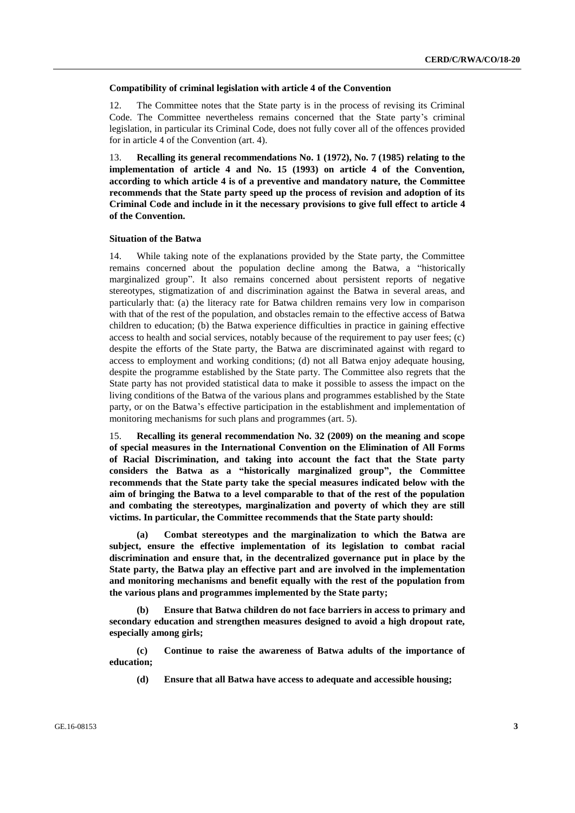#### **Compatibility of criminal legislation with article 4 of the Convention**

12. The Committee notes that the State party is in the process of revising its Criminal Code. The Committee nevertheless remains concerned that the State party's criminal legislation, in particular its Criminal Code, does not fully cover all of the offences provided for in article 4 of the Convention (art. 4).

13. **Recalling its general recommendations No. 1 (1972), No. 7 (1985) relating to the implementation of article 4 and No. 15 (1993) on article 4 of the Convention, according to which article 4 is of a preventive and mandatory nature, the Committee recommends that the State party speed up the process of revision and adoption of its Criminal Code and include in it the necessary provisions to give full effect to article 4 of the Convention.**

#### **Situation of the Batwa**

14. While taking note of the explanations provided by the State party, the Committee remains concerned about the population decline among the Batwa, a "historically marginalized group". It also remains concerned about persistent reports of negative stereotypes, stigmatization of and discrimination against the Batwa in several areas, and particularly that: (a) the literacy rate for Batwa children remains very low in comparison with that of the rest of the population, and obstacles remain to the effective access of Batwa children to education; (b) the Batwa experience difficulties in practice in gaining effective access to health and social services, notably because of the requirement to pay user fees; (c) despite the efforts of the State party, the Batwa are discriminated against with regard to access to employment and working conditions; (d) not all Batwa enjoy adequate housing, despite the programme established by the State party. The Committee also regrets that the State party has not provided statistical data to make it possible to assess the impact on the living conditions of the Batwa of the various plans and programmes established by the State party, or on the Batwa's effective participation in the establishment and implementation of monitoring mechanisms for such plans and programmes (art. 5).

15. **Recalling its general recommendation No. 32 (2009) on the meaning and scope of special measures in the International Convention on the Elimination of All Forms of Racial Discrimination, and taking into account the fact that the State party considers the Batwa as a "historically marginalized group", the Committee recommends that the State party take the special measures indicated below with the aim of bringing the Batwa to a level comparable to that of the rest of the population and combating the stereotypes, marginalization and poverty of which they are still victims. In particular, the Committee recommends that the State party should:**

**(a) Combat stereotypes and the marginalization to which the Batwa are subject, ensure the effective implementation of its legislation to combat racial discrimination and ensure that, in the decentralized governance put in place by the State party, the Batwa play an effective part and are involved in the implementation and monitoring mechanisms and benefit equally with the rest of the population from the various plans and programmes implemented by the State party;** 

**(b) Ensure that Batwa children do not face barriers in access to primary and secondary education and strengthen measures designed to avoid a high dropout rate, especially among girls;** 

**(c) Continue to raise the awareness of Batwa adults of the importance of education;** 

**(d) Ensure that all Batwa have access to adequate and accessible housing;**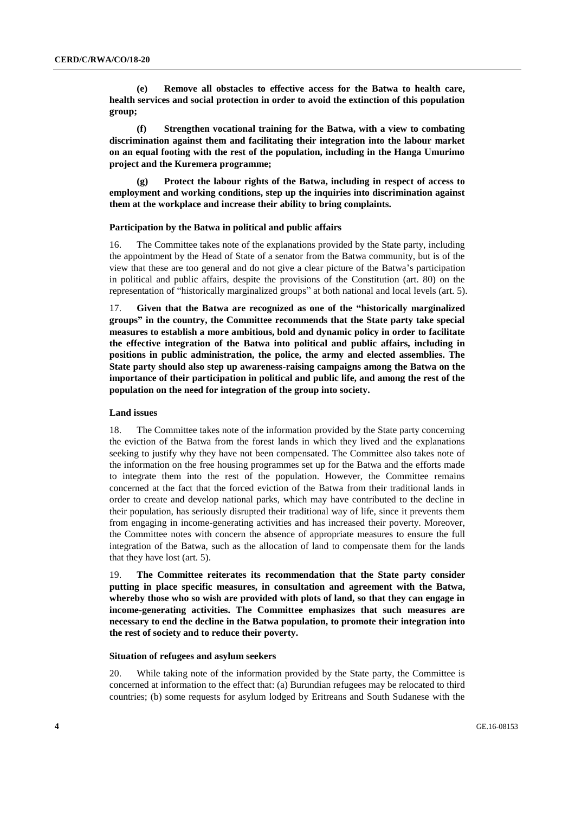**(e) Remove all obstacles to effective access for the Batwa to health care, health services and social protection in order to avoid the extinction of this population group;**

**(f) Strengthen vocational training for the Batwa, with a view to combating discrimination against them and facilitating their integration into the labour market on an equal footing with the rest of the population, including in the Hanga Umurimo project and the Kuremera programme;**

**(g) Protect the labour rights of the Batwa, including in respect of access to employment and working conditions, step up the inquiries into discrimination against them at the workplace and increase their ability to bring complaints.**

#### **Participation by the Batwa in political and public affairs**

16. The Committee takes note of the explanations provided by the State party, including the appointment by the Head of State of a senator from the Batwa community, but is of the view that these are too general and do not give a clear picture of the Batwa's participation in political and public affairs, despite the provisions of the Constitution (art. 80) on the representation of "historically marginalized groups" at both national and local levels (art. 5).

17. **Given that the Batwa are recognized as one of the "historically marginalized groups" in the country, the Committee recommends that the State party take special measures to establish a more ambitious, bold and dynamic policy in order to facilitate the effective integration of the Batwa into political and public affairs, including in positions in public administration, the police, the army and elected assemblies. The State party should also step up awareness-raising campaigns among the Batwa on the importance of their participation in political and public life, and among the rest of the population on the need for integration of the group into society.**

#### **Land issues**

18. The Committee takes note of the information provided by the State party concerning the eviction of the Batwa from the forest lands in which they lived and the explanations seeking to justify why they have not been compensated. The Committee also takes note of the information on the free housing programmes set up for the Batwa and the efforts made to integrate them into the rest of the population. However, the Committee remains concerned at the fact that the forced eviction of the Batwa from their traditional lands in order to create and develop national parks, which may have contributed to the decline in their population, has seriously disrupted their traditional way of life, since it prevents them from engaging in income-generating activities and has increased their poverty. Moreover, the Committee notes with concern the absence of appropriate measures to ensure the full integration of the Batwa, such as the allocation of land to compensate them for the lands that they have lost (art. 5).

19. **The Committee reiterates its recommendation that the State party consider putting in place specific measures, in consultation and agreement with the Batwa, whereby those who so wish are provided with plots of land, so that they can engage in income-generating activities. The Committee emphasizes that such measures are necessary to end the decline in the Batwa population, to promote their integration into the rest of society and to reduce their poverty.**

#### **Situation of refugees and asylum seekers**

20. While taking note of the information provided by the State party, the Committee is concerned at information to the effect that: (a) Burundian refugees may be relocated to third countries; (b) some requests for asylum lodged by Eritreans and South Sudanese with the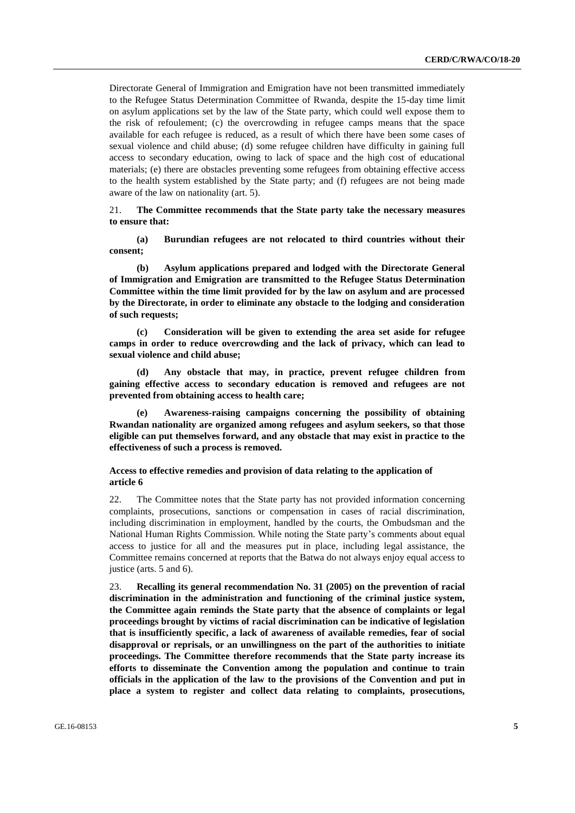Directorate General of Immigration and Emigration have not been transmitted immediately to the Refugee Status Determination Committee of Rwanda, despite the 15-day time limit on asylum applications set by the law of the State party, which could well expose them to the risk of refoulement; (c) the overcrowding in refugee camps means that the space available for each refugee is reduced, as a result of which there have been some cases of sexual violence and child abuse; (d) some refugee children have difficulty in gaining full access to secondary education, owing to lack of space and the high cost of educational materials; (e) there are obstacles preventing some refugees from obtaining effective access to the health system established by the State party; and (f) refugees are not being made aware of the law on nationality (art. 5).

#### 21. **The Committee recommends that the State party take the necessary measures to ensure that:**

**(a) Burundian refugees are not relocated to third countries without their consent;**

**(b) Asylum applications prepared and lodged with the Directorate General of Immigration and Emigration are transmitted to the Refugee Status Determination Committee within the time limit provided for by the law on asylum and are processed by the Directorate, in order to eliminate any obstacle to the lodging and consideration of such requests;**

**(c) Consideration will be given to extending the area set aside for refugee camps in order to reduce overcrowding and the lack of privacy, which can lead to sexual violence and child abuse;**

**(d) Any obstacle that may, in practice, prevent refugee children from gaining effective access to secondary education is removed and refugees are not prevented from obtaining access to health care;**

**(e) Awareness-raising campaigns concerning the possibility of obtaining Rwandan nationality are organized among refugees and asylum seekers, so that those eligible can put themselves forward, and any obstacle that may exist in practice to the effectiveness of such a process is removed.**

#### **Access to effective remedies and provision of data relating to the application of article 6**

22. The Committee notes that the State party has not provided information concerning complaints, prosecutions, sanctions or compensation in cases of racial discrimination, including discrimination in employment, handled by the courts, the Ombudsman and the National Human Rights Commission. While noting the State party's comments about equal access to justice for all and the measures put in place, including legal assistance, the Committee remains concerned at reports that the Batwa do not always enjoy equal access to justice (arts. 5 and 6).

23. **Recalling its general recommendation No. 31 (2005) on the prevention of racial discrimination in the administration and functioning of the criminal justice system, the Committee again reminds the State party that the absence of complaints or legal proceedings brought by victims of racial discrimination can be indicative of legislation that is insufficiently specific, a lack of awareness of available remedies, fear of social disapproval or reprisals, or an unwillingness on the part of the authorities to initiate proceedings. The Committee therefore recommends that the State party increase its efforts to disseminate the Convention among the population and continue to train officials in the application of the law to the provisions of the Convention and put in place a system to register and collect data relating to complaints, prosecutions,**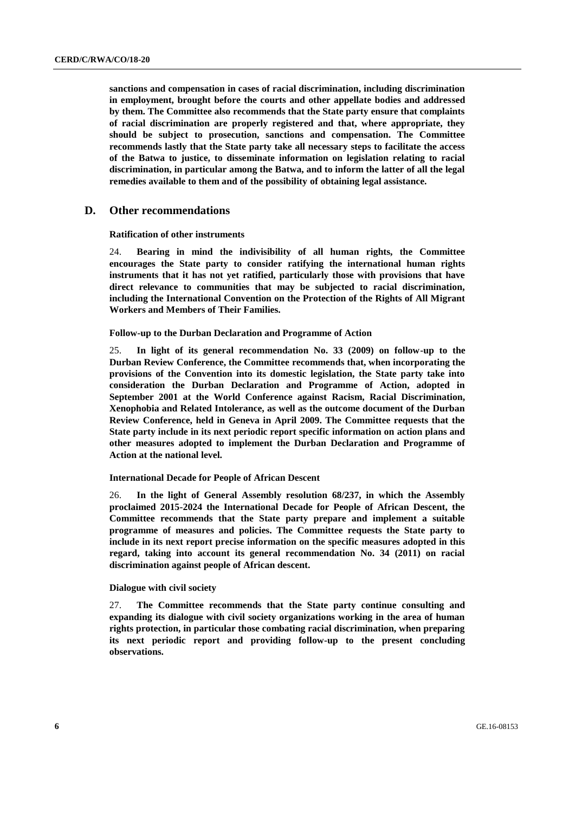**sanctions and compensation in cases of racial discrimination, including discrimination in employment, brought before the courts and other appellate bodies and addressed by them. The Committee also recommends that the State party ensure that complaints of racial discrimination are properly registered and that, where appropriate, they should be subject to prosecution, sanctions and compensation. The Committee recommends lastly that the State party take all necessary steps to facilitate the access of the Batwa to justice, to disseminate information on legislation relating to racial discrimination, in particular among the Batwa, and to inform the latter of all the legal remedies available to them and of the possibility of obtaining legal assistance.**

#### **D. Other recommendations**

#### **Ratification of other instruments**

24. **Bearing in mind the indivisibility of all human rights, the Committee encourages the State party to consider ratifying the international human rights instruments that it has not yet ratified, particularly those with provisions that have direct relevance to communities that may be subjected to racial discrimination, including the International Convention on the Protection of the Rights of All Migrant Workers and Members of Their Families.**

**Follow-up to the Durban Declaration and Programme of Action**

25. **In light of its general recommendation No. 33 (2009) on follow-up to the Durban Review Conference, the Committee recommends that, when incorporating the provisions of the Convention into its domestic legislation, the State party take into consideration the Durban Declaration and Programme of Action, adopted in September 2001 at the World Conference against Racism, Racial Discrimination, Xenophobia and Related Intolerance, as well as the outcome document of the Durban Review Conference, held in Geneva in April 2009. The Committee requests that the State party include in its next periodic report specific information on action plans and other measures adopted to implement the Durban Declaration and Programme of Action at the national level.**

**International Decade for People of African Descent**

26. **In the light of General Assembly resolution 68/237, in which the Assembly proclaimed 2015-2024 the International Decade for People of African Descent, the Committee recommends that the State party prepare and implement a suitable programme of measures and policies. The Committee requests the State party to include in its next report precise information on the specific measures adopted in this regard, taking into account its general recommendation No. 34 (2011) on racial discrimination against people of African descent.**

#### **Dialogue with civil society**

27. **The Committee recommends that the State party continue consulting and expanding its dialogue with civil society organizations working in the area of human rights protection, in particular those combating racial discrimination, when preparing its next periodic report and providing follow-up to the present concluding observations.**